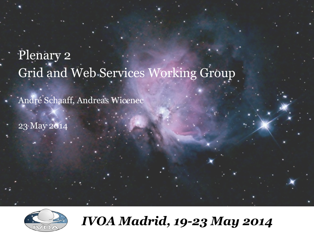# Plenary 2 Grid and Web Services Working Group

André Schaaff, Andreas Wicenec

23 May 2014



*IVOA Madrid, 19-23 May 2014*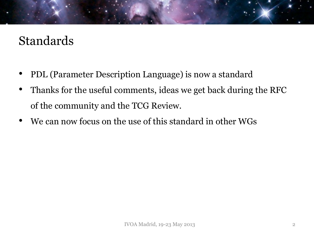#### Standards

- PDL (Parameter Description Language) is now a standard
- Thanks for the useful comments, ideas we get back during the RFC of the community and the TCG Review.
- We can now focus on the use of this standard in other WGs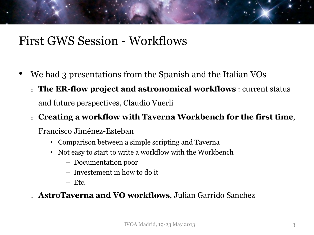#### First GWS Session - Workflows

- We had 3 presentations from the Spanish and the Italian VOs
	- <sup>o</sup> **The ER-flow project and astronomical workflows** : current status and future perspectives, Claudio Vuerli

#### <sup>o</sup> **Creating a workflow with Taverna Workbench for the first time**,

Francisco Jiménez-Esteban

- Comparison between a simple scripting and Taverna
- Not easy to start to write a workflow with the Workbench
	- Documentation poor
	- Investement in how to do it
	- Etc.

#### <sup>o</sup> **AstroTaverna and VO workflows**, Julian Garrido Sanchez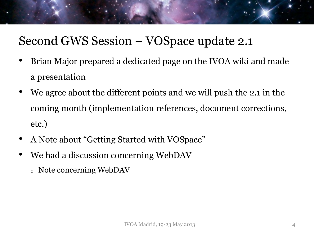### Second GWS Session – VOSpace update 2.1

- Brian Major prepared a dedicated page on the IVOA wiki and made a presentation
- We agree about the different points and we will push the 2.1 in the coming month (implementation references, document corrections, etc.)
- A Note about "Getting Started with VOSpace"
- We had a discussion concerning WebDAV
	- <sup>o</sup> Note concerning WebDAV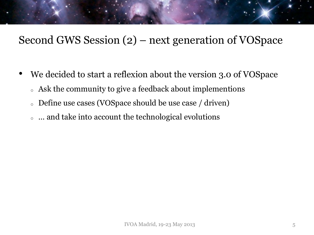#### Second GWS Session (2) – next generation of VOSpace

- We decided to start a reflexion about the version 3.0 of VOSpace
	- <sup>o</sup> Ask the community to give a feedback about implementions
	- <sup>o</sup> Define use cases (VOSpace should be use case / driven)
	- <sup>o</sup> … and take into account the technological evolutions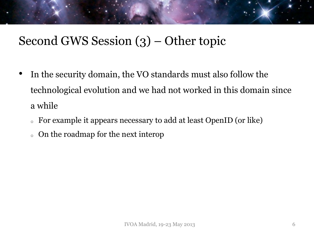### Second GWS Session (3) – Other topic

- In the security domain, the VO standards must also follow the technological evolution and we had not worked in this domain since a while
	- <sup>o</sup> For example it appears necessary to add at least OpenID (or like)
	- <sup>o</sup> On the roadmap for the next interop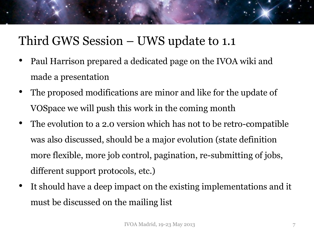### Third GWS Session – UWS update to 1.1

- Paul Harrison prepared a dedicated page on the IVOA wiki and made a presentation
- The proposed modifications are minor and like for the update of VOSpace we will push this work in the coming month
- The evolution to a 2.0 version which has not to be retro-compatible was also discussed, should be a major evolution (state definition more flexible, more job control, pagination, re-submitting of jobs, different support protocols, etc.)
- It should have a deep impact on the existing implementations and it must be discussed on the mailing list